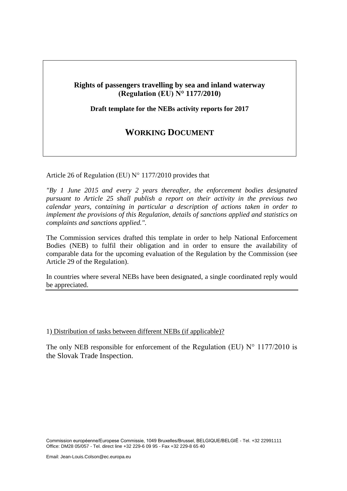#### **Rights of passengers travelling by sea and inland waterway (Regulation (EU) N° 1177/2010)**

**Draft template for the NEBs activity reports for 2017**

# **WORKING DOCUMENT**

Article 26 of Regulation (EU) N° 1177/2010 provides that

*"By 1 June 2015 and every 2 years thereafter, the enforcement bodies designated pursuant to Article 25 shall publish a report on their activity in the previous two calendar years, containing in particular a description of actions taken in order to implement the provisions of this Regulation, details of sanctions applied and statistics on complaints and sanctions applied.".*

The Commission services drafted this template in order to help National Enforcement Bodies (NEB) to fulfil their obligation and in order to ensure the availability of comparable data for the upcoming evaluation of the Regulation by the Commission (see Article 29 of the Regulation).

In countries where several NEBs have been designated, a single coordinated reply would be appreciated.

#### 1) Distribution of tasks between different NEBs (if applicable)?

The only NEB responsible for enforcement of the Regulation (EU)  $N^{\circ}$  1177/2010 is the Slovak Trade Inspection.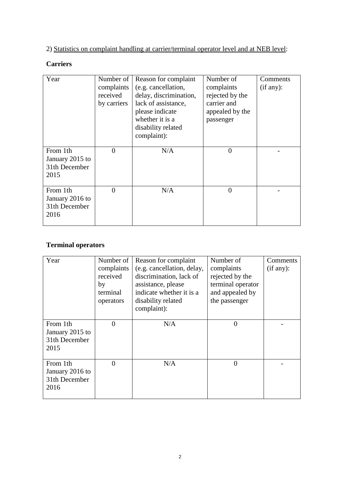# 2) Statistics on complaint handling at carrier/terminal operator level and at NEB level:

### **Carriers**

| Year                                                 | Number of<br>complaints<br>received<br>by carriers | Reason for complaint<br>(e.g. cancellation,<br>delay, discrimination,<br>lack of assistance,<br>please indicate<br>whether it is a<br>disability related<br>complaint): | Number of<br>complaints<br>rejected by the<br>carrier and<br>appealed by the<br>passenger | Comments<br>(if any): |
|------------------------------------------------------|----------------------------------------------------|-------------------------------------------------------------------------------------------------------------------------------------------------------------------------|-------------------------------------------------------------------------------------------|-----------------------|
| From 1th<br>January 2015 to<br>31th December<br>2015 | $\overline{0}$                                     | N/A                                                                                                                                                                     | $\overline{0}$                                                                            |                       |
| From 1th<br>January 2016 to<br>31th December<br>2016 | $\theta$                                           | N/A                                                                                                                                                                     | $\overline{0}$                                                                            |                       |

#### **Terminal operators**

| Year                                                 | Number of<br>complaints<br>received<br>by<br>terminal<br>operators | Reason for complaint<br>(e.g. cancellation, delay,<br>discrimination, lack of<br>assistance, please<br>indicate whether it is a<br>disability related<br>complaint): | Number of<br>complaints<br>rejected by the<br>terminal operator<br>and appealed by<br>the passenger | Comments<br>(if any): |
|------------------------------------------------------|--------------------------------------------------------------------|----------------------------------------------------------------------------------------------------------------------------------------------------------------------|-----------------------------------------------------------------------------------------------------|-----------------------|
| From 1th<br>January 2015 to<br>31th December<br>2015 | $\overline{0}$                                                     | N/A                                                                                                                                                                  | $\Omega$                                                                                            |                       |
| From 1th<br>January 2016 to<br>31th December<br>2016 | $\theta$                                                           | N/A                                                                                                                                                                  | $\Omega$                                                                                            |                       |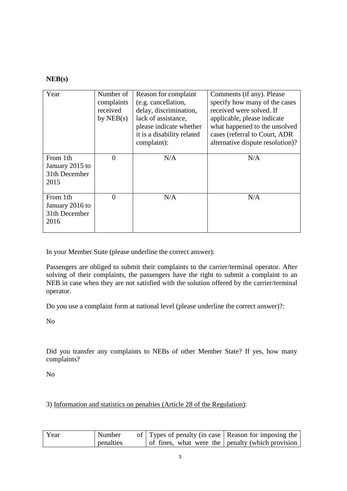#### **NEB(s)**

| Year                                                 | Number of<br>complaints<br>received<br>by $NEB(s)$ | Reason for complaint<br>(e.g. cancellation,<br>delay, discrimination,<br>lack of assistance,<br>please indicate whether<br>it is a disability related<br>complaint): | Comments (if any). Please<br>specify how many of the cases<br>received were solved. If<br>applicable, please indicate<br>what happened to the unsolved<br>cases (referral to Court, ADR<br>alternative dispute resolution)? |
|------------------------------------------------------|----------------------------------------------------|----------------------------------------------------------------------------------------------------------------------------------------------------------------------|-----------------------------------------------------------------------------------------------------------------------------------------------------------------------------------------------------------------------------|
| From 1th<br>January 2015 to<br>31th December<br>2015 | $\theta$                                           | N/A                                                                                                                                                                  | N/A                                                                                                                                                                                                                         |
| From 1th<br>January 2016 to<br>31th December<br>2016 | $\Omega$                                           | N/A                                                                                                                                                                  | N/A                                                                                                                                                                                                                         |

In your Member State (please underline the correct answer):

Passengers are obliged to submit their complaints to the carrier/terminal operator. After solving of their complaints, the passengers have the right to submit a complaint to an NEB in case when they are not satisfied with the solution offered by the carrier/terminal operator.

Do you use a complaint form at national level (please underline the correct answer)?:

No

Did you transfer any complaints to NEBs of other Member State? If yes, how many complaints?

No

3) Information and statistics on penalties (Article 28 of the Regulation):

| Year | Number    | of Types of penalty (in case Reason for imposing the |  |
|------|-----------|------------------------------------------------------|--|
|      | penalties | of fines, what were the penalty (which provision     |  |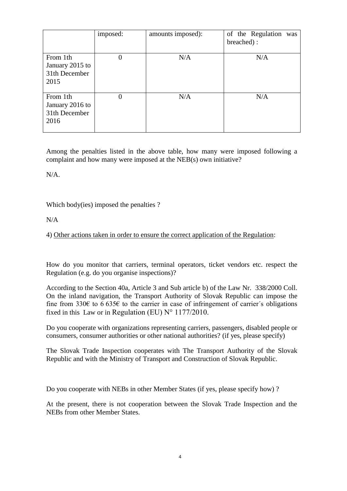|                                                      | imposed:       | amounts imposed): | of the Regulation was<br>breached): |
|------------------------------------------------------|----------------|-------------------|-------------------------------------|
| From 1th<br>January 2015 to<br>31th December<br>2015 | $\overline{0}$ | N/A               | N/A                                 |
| From 1th<br>January 2016 to<br>31th December<br>2016 | $\overline{0}$ | N/A               | N/A                                 |

Among the penalties listed in the above table, how many were imposed following a complaint and how many were imposed at the NEB(s) own initiative?

N/A.

Which body(ies) imposed the penalties ?

 $N/A$ 

4) Other actions taken in order to ensure the correct application of the Regulation:

How do you monitor that carriers, terminal operators, ticket vendors etc. respect the Regulation (e.g. do you organise inspections)?

According to the Section 40a, Article 3 and Sub article b) of the Law Nr. 338/2000 Coll. On the inland navigation, the Transport Authority of Slovak Republic can impose the fine from 330€ to 6.635€ to the carrier in case of infringement of carrier's obligations fixed in this Law or in Regulation (EU)  $N^{\circ}$  1177/2010.

Do you cooperate with organizations representing carriers, passengers, disabled people or consumers, consumer authorities or other national authorities? (if yes, please specify)

The Slovak Trade Inspection cooperates with The Transport Authority of the Slovak Republic and with the Ministry of Transport and Construction of Slovak Republic.

Do you cooperate with NEBs in other Member States (if yes, please specify how) ?

At the present, there is not cooperation between the Slovak Trade Inspection and the NEBs from other Member States.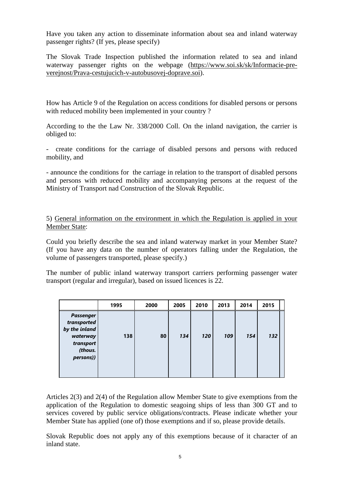Have you taken any action to disseminate information about sea and inland waterway passenger rights? (If yes, please specify)

The Slovak Trade Inspection published the information related to sea and inland waterway passenger rights on the webpage [\(https://www.soi.sk/sk/Informacie-pre](https://www.soi.sk/sk/Informacie-pre-verejnost/Prava-cestujucich-v-autobusovej-doprave.soi)[verejnost/Prava-cestujucich-v-autobusovej-doprave.soi\)](https://www.soi.sk/sk/Informacie-pre-verejnost/Prava-cestujucich-v-autobusovej-doprave.soi).

How has Article 9 of the Regulation on access conditions for disabled persons or persons with reduced mobility been implemented in your country ?

According to the the Law Nr. 338/2000 Coll. On the inland navigation, the carrier is obliged to:

- create conditions for the carriage of disabled persons and persons with reduced mobility, and

- announce the conditions for the carriage in relation to the transport of disabled persons and persons with reduced mobility and accompanying persons at the request of the Ministry of Transport nad Construction of the Slovak Republic.

5) General information on the environment in which the Regulation is applied in your Member State:

Could you briefly describe the sea and inland waterway market in your Member State? (If you have any data on the number of operators falling under the Regulation, the volume of passengers transported, please specify.)

The number of public inland waterway transport carriers performing passenger water transport (regular and irregular), based on issued licences is 22.

|                                                                                                   | 1995 | 2000 | 2005 | 2010 | 2013 | 2014 | 2015 |  |
|---------------------------------------------------------------------------------------------------|------|------|------|------|------|------|------|--|
| <b>Passenger</b><br>transported<br>by the inland<br>waterway<br>transport<br>(thous.<br>persons)) | 138  | 80   | 134  | 120  | 109  | 154  | 132  |  |

Articles 2(3) and 2(4) of the Regulation allow Member State to give exemptions from the application of the Regulation to domestic seagoing ships of less than 300 GT and to services covered by public service obligations/contracts. Please indicate whether your Member State has applied (one of) those exemptions and if so, please provide details.

Slovak Republic does not apply any of this exemptions because of it character of an inland state.